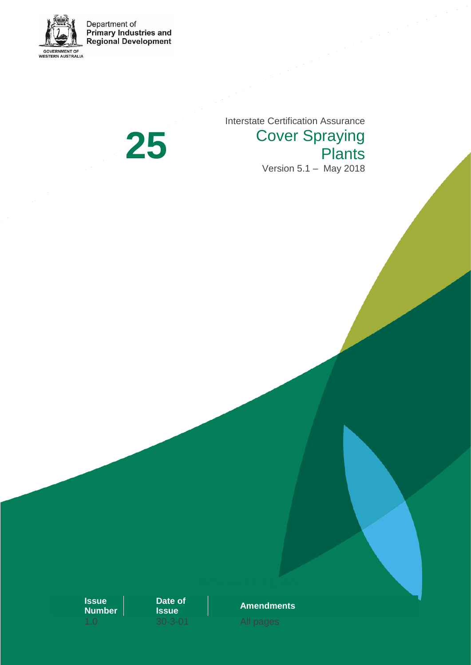

Department of<br>Primary Industries and<br>Regional Development

**25**

Interstate Certification Assurance Cover Spraying **Plants** Version 5.1 – May 2018

**Issue Number** **Date of** 



Revision Register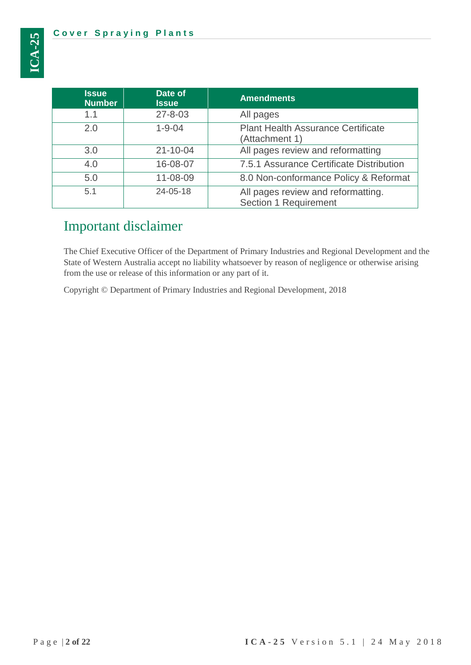| <b>Issue</b><br><b>Number</b> | Date of<br><b>Issue</b> | <b>Amendments</b>                                           |
|-------------------------------|-------------------------|-------------------------------------------------------------|
| 1.1                           | $27 - 8 - 03$           | All pages                                                   |
| 2.0                           | $1 - 9 - 04$            | <b>Plant Health Assurance Certificate</b><br>(Attachment 1) |
| 3.0                           | $21 - 10 - 04$          | All pages review and reformatting                           |
| 4.0                           | 16-08-07                | 7.5.1 Assurance Certificate Distribution                    |
| 5.0                           | 11-08-09                | 8.0 Non-conformance Policy & Reformat                       |
| 5.1                           | 24-05-18                | All pages review and reformatting.<br>Section 1 Requirement |

# Important disclaimer

The Chief Executive Officer of the Department of Primary Industries and Regional Development and the State of Western Australia accept no liability whatsoever by reason of negligence or otherwise arising from the use or release of this information or any part of it.

Copyright © Department of Primary Industries and Regional Development, 2018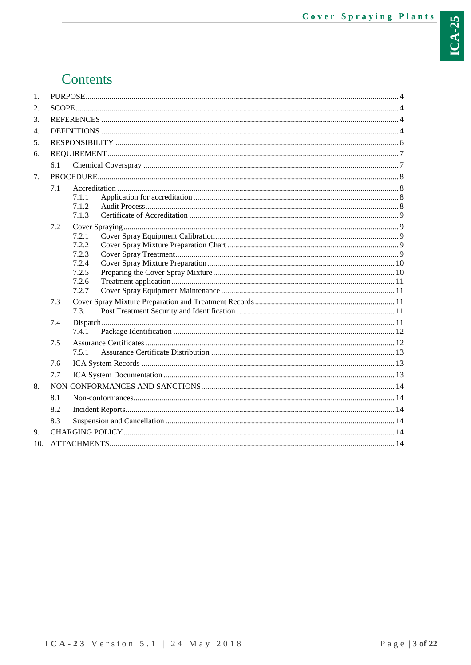# Contents

| 2.<br>3.<br>4.<br>5.<br>6.<br>6.1<br>7.<br>7.1<br>7.1.1<br>7.1.2<br>7.1.3<br>7.2<br>7.2.1<br>7.2.2<br>7.2.3<br>7.2.4<br>7.2.5<br>7.2.6<br>7.2.7<br>7.3<br>7.3.1<br>7.4<br>7.4.1<br>7.5<br>7.5.1<br>7.6<br>7.7<br>8.<br>8.1<br>8.2<br>8.3<br>9. | 1. |  |  |  |
|------------------------------------------------------------------------------------------------------------------------------------------------------------------------------------------------------------------------------------------------|----|--|--|--|
|                                                                                                                                                                                                                                                |    |  |  |  |
|                                                                                                                                                                                                                                                |    |  |  |  |
|                                                                                                                                                                                                                                                |    |  |  |  |
|                                                                                                                                                                                                                                                |    |  |  |  |
|                                                                                                                                                                                                                                                |    |  |  |  |
|                                                                                                                                                                                                                                                |    |  |  |  |
|                                                                                                                                                                                                                                                |    |  |  |  |
|                                                                                                                                                                                                                                                |    |  |  |  |
|                                                                                                                                                                                                                                                |    |  |  |  |
|                                                                                                                                                                                                                                                |    |  |  |  |
|                                                                                                                                                                                                                                                |    |  |  |  |
|                                                                                                                                                                                                                                                |    |  |  |  |
|                                                                                                                                                                                                                                                |    |  |  |  |
|                                                                                                                                                                                                                                                |    |  |  |  |
|                                                                                                                                                                                                                                                |    |  |  |  |
|                                                                                                                                                                                                                                                |    |  |  |  |
|                                                                                                                                                                                                                                                |    |  |  |  |
|                                                                                                                                                                                                                                                |    |  |  |  |
|                                                                                                                                                                                                                                                |    |  |  |  |
|                                                                                                                                                                                                                                                |    |  |  |  |
|                                                                                                                                                                                                                                                |    |  |  |  |
|                                                                                                                                                                                                                                                |    |  |  |  |
|                                                                                                                                                                                                                                                |    |  |  |  |
|                                                                                                                                                                                                                                                |    |  |  |  |
|                                                                                                                                                                                                                                                |    |  |  |  |
|                                                                                                                                                                                                                                                |    |  |  |  |
|                                                                                                                                                                                                                                                |    |  |  |  |
|                                                                                                                                                                                                                                                |    |  |  |  |
|                                                                                                                                                                                                                                                |    |  |  |  |
|                                                                                                                                                                                                                                                |    |  |  |  |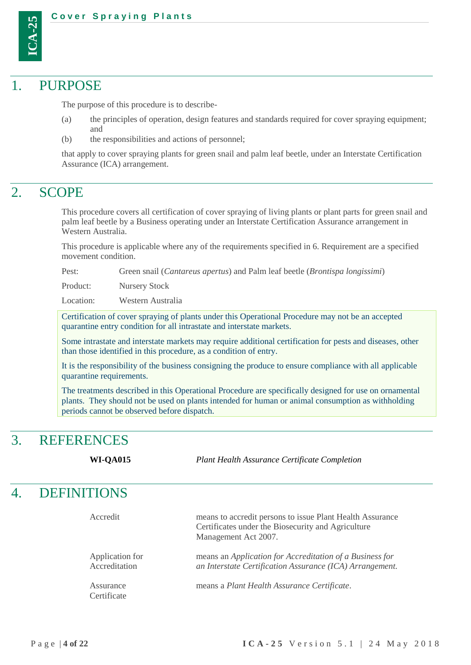

## <span id="page-3-0"></span>PURPOSE

The purpose of this procedure is to describe-

- (a) the principles of operation, design features and standards required for cover spraying equipment; and
- (b) the responsibilities and actions of personnel;

that apply to cover spraying plants for green snail and palm leaf beetle, under an Interstate Certification Assurance (ICA) arrangement.

# <span id="page-3-1"></span>2. SCOPE

This procedure covers all certification of cover spraying of living plants or plant parts for green snail and palm leaf beetle by a Business operating under an Interstate Certification Assurance arrangement in Western Australia.

This procedure is applicable where any of the requirements specified in 6. Requirement are a specified movement condition.

Pest: Green snail (*Cantareus apertus*) and Palm leaf beetle (*Brontispa longissimi*)

Product: Nursery Stock

Location: Western Australia

Certification of cover spraying of plants under this Operational Procedure may not be an accepted quarantine entry condition for all intrastate and interstate markets.

Some intrastate and interstate markets may require additional certification for pests and diseases, other than those identified in this procedure, as a condition of entry.

It is the responsibility of the business consigning the produce to ensure compliance with all applicable quarantine requirements.

The treatments described in this Operational Procedure are specifically designed for use on ornamental plants. They should not be used on plants intended for human or animal consumption as withholding periods cannot be observed before dispatch.

# <span id="page-3-2"></span>3. REFERENCES

**WI-QA015** *Plant Health Assurance Certificate Completion*

# <span id="page-3-3"></span>4. DEFINITIONS

| Accredit                         | means to accredit persons to issue Plant Health Assurance<br>Certificates under the Biosecurity and Agriculture<br>Management Act 2007. |
|----------------------------------|-----------------------------------------------------------------------------------------------------------------------------------------|
| Application for<br>Accreditation | means an <i>Application for Accreditation of a Business for</i><br>an Interstate Certification Assurance (ICA) Arrangement.             |
| Assurance<br>Certificate         | means a Plant Health Assurance Certificate.                                                                                             |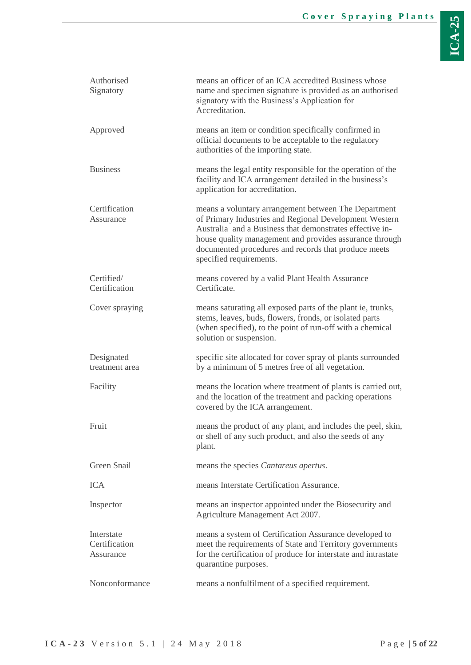| Authorised<br>Signatory                  | means an officer of an ICA accredited Business whose<br>name and specimen signature is provided as an authorised<br>signatory with the Business's Application for<br>Accreditation.                                                                                                                                      |
|------------------------------------------|--------------------------------------------------------------------------------------------------------------------------------------------------------------------------------------------------------------------------------------------------------------------------------------------------------------------------|
| Approved                                 | means an item or condition specifically confirmed in<br>official documents to be acceptable to the regulatory<br>authorities of the importing state.                                                                                                                                                                     |
| <b>Business</b>                          | means the legal entity responsible for the operation of the<br>facility and ICA arrangement detailed in the business's<br>application for accreditation.                                                                                                                                                                 |
| Certification<br>Assurance               | means a voluntary arrangement between The Department<br>of Primary Industries and Regional Development Western<br>Australia and a Business that demonstrates effective in-<br>house quality management and provides assurance through<br>documented procedures and records that produce meets<br>specified requirements. |
| Certified/<br>Certification              | means covered by a valid Plant Health Assurance<br>Certificate.                                                                                                                                                                                                                                                          |
| Cover spraying                           | means saturating all exposed parts of the plant ie, trunks,<br>stems, leaves, buds, flowers, fronds, or isolated parts<br>(when specified), to the point of run-off with a chemical<br>solution or suspension.                                                                                                           |
| Designated<br>treatment area             | specific site allocated for cover spray of plants surrounded<br>by a minimum of 5 metres free of all vegetation.                                                                                                                                                                                                         |
| Facility                                 | means the location where treatment of plants is carried out,<br>and the location of the treatment and packing operations<br>covered by the ICA arrangement.                                                                                                                                                              |
| Fruit                                    | means the product of any plant, and includes the peel, skin,<br>or shell of any such product, and also the seeds of any<br>plant.                                                                                                                                                                                        |
| Green Snail                              | means the species Cantareus apertus.                                                                                                                                                                                                                                                                                     |
| <b>ICA</b>                               | means Interstate Certification Assurance.                                                                                                                                                                                                                                                                                |
| Inspector                                | means an inspector appointed under the Biosecurity and<br>Agriculture Management Act 2007.                                                                                                                                                                                                                               |
| Interstate<br>Certification<br>Assurance | means a system of Certification Assurance developed to<br>meet the requirements of State and Territory governments<br>for the certification of produce for interstate and intrastate<br>quarantine purposes.                                                                                                             |
| Nonconformance                           | means a nonfulfilment of a specified requirement.                                                                                                                                                                                                                                                                        |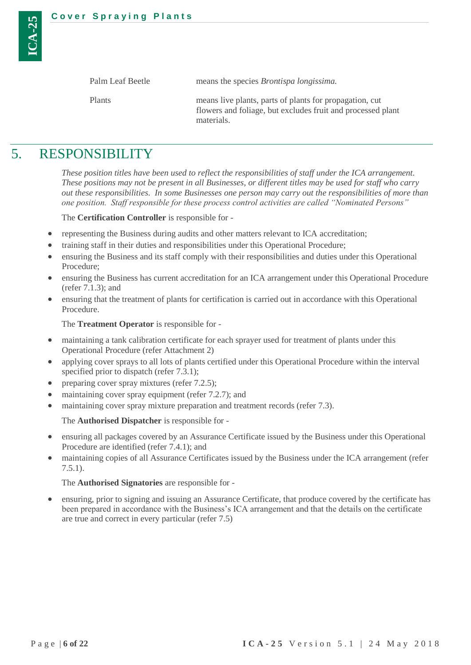| Palm Leaf Beetle | means the species <i>Brontispa longissima</i> .                                                                                      |
|------------------|--------------------------------------------------------------------------------------------------------------------------------------|
| <b>Plants</b>    | means live plants, parts of plants for propagation, cut<br>flowers and foliage, but excludes fruit and processed plant<br>materials. |

# <span id="page-5-0"></span>5. RESPONSIBILITY

*These position titles have been used to reflect the responsibilities of staff under the ICA arrangement. These positions may not be present in all Businesses, or different titles may be used for staff who carry out these responsibilities. In some Businesses one person may carry out the responsibilities of more than one position. Staff responsible for these process control activities are called "Nominated Persons"*

The **Certification Controller** is responsible for -

- representing the Business during audits and other matters relevant to ICA accreditation;
- training staff in their duties and responsibilities under this Operational Procedure;
- ensuring the Business and its staff comply with their responsibilities and duties under this Operational Procedure;
- ensuring the Business has current accreditation for an ICA arrangement under this Operational Procedure (refer [7.1.3\)](#page-8-0); and
- ensuring that the treatment of plants for certification is carried out in accordance with this Operational Procedure.

The **Treatment Operator** is responsible for -

- maintaining a tank calibration certificate for each sprayer used for treatment of plants under this Operational Procedure (refer Attachment 2)
- applying cover sprays to all lots of plants certified under this Operational Procedure within the interval specified prior to dispatch (refer [7.3.1\)](#page-10-3);
- preparing cover spray mixtures (refer [7.2.5\)](#page-9-1);
- maintaining cover spray equipment (refer [7.2.7\)](#page-10-1); and
- maintaining cover spray mixture preparation and treatment records (refer [7.3\)](#page-10-2).

The **Authorised Dispatcher** is responsible for -

- ensuring all packages covered by an Assurance Certificate issued by the Business under this Operational Procedure are identified (refer [7.4.1\)](#page-11-0); and
- maintaining copies of all Assurance Certificates issued by the Business under the ICA arrangement (refer [7.5.1\)](#page-12-0).

The **Authorised Signatories** are responsible for -

<span id="page-5-1"></span> ensuring, prior to signing and issuing an Assurance Certificate, that produce covered by the certificate has been prepared in accordance with the Business's ICA arrangement and that the details on the certificate are true and correct in every particular (refer [7.5\)](#page-11-1)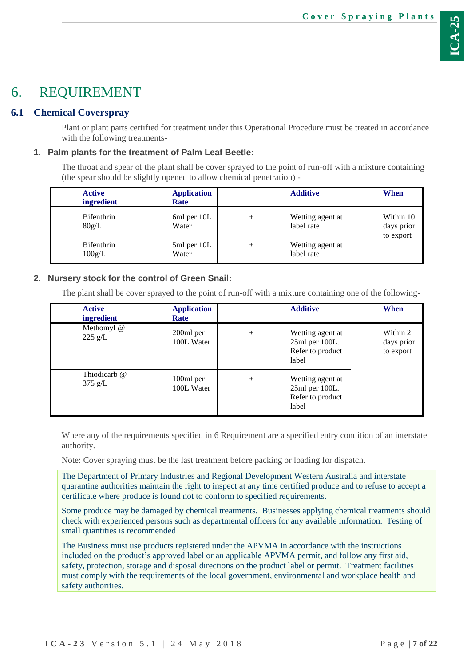# <span id="page-6-0"></span>6. REQUIREMENT

## <span id="page-6-1"></span>**6.1 Chemical Coverspray**

Plant or plant parts certified for treatment under this Operational Procedure must be treated in accordance with the following treatments-

## **1. Palm plants for the treatment of Palm Leaf Beetle:**

The throat and spear of the plant shall be cover sprayed to the point of run-off with a mixture containing (the spear should be slightly opened to allow chemical penetration) -

| <b>Active</b><br><i>ingredient</i> | <b>Application</b><br>Rate |        | <b>Additive</b>                | When                    |
|------------------------------------|----------------------------|--------|--------------------------------|-------------------------|
| <b>Bifenthrin</b><br>80g/L         | 6ml per 10L<br>Water       | $^{+}$ | Wetting agent at<br>label rate | Within 10<br>days prior |
| <b>Bifenthrin</b><br>100g/L        | 5ml per 10L<br>Water       | $^+$   | Wetting agent at<br>label rate | to export               |

## **2. Nursery stock for the control of Green Snail:**

The plant shall be cover sprayed to the point of run-off with a mixture containing one of the following-

| <b>Active</b><br>ingredient     | <b>Application</b><br>Rate |        | <b>Additive</b>                                                 | When                                |
|---------------------------------|----------------------------|--------|-----------------------------------------------------------------|-------------------------------------|
| Methomyl @<br>$225 \text{ g/L}$ | 200ml per<br>100L Water    | $^{+}$ | Wetting agent at<br>25ml per 100L.<br>Refer to product<br>label | Within 2<br>days prior<br>to export |
| Thiodicarb @<br>$375$ g/L       | 100ml per<br>100L Water    | $^{+}$ | Wetting agent at<br>25ml per 100L.<br>Refer to product<br>label |                                     |

Where any of the requirements specified i[n 6](#page-5-1) Requirement are a specified entry condition of an interstate authority.

Note: Cover spraying must be the last treatment before packing or loading for dispatch.

The Department of Primary Industries and Regional Development Western Australia and interstate quarantine authorities maintain the right to inspect at any time certified produce and to refuse to accept a certificate where produce is found not to conform to specified requirements.

Some produce may be damaged by chemical treatments. Businesses applying chemical treatments should check with experienced persons such as departmental officers for any available information. Testing of small quantities is recommended

The Business must use products registered under the APVMA in accordance with the instructions included on the product's approved label or an applicable APVMA permit, and follow any first aid, safety, protection, storage and disposal directions on the product label or permit. Treatment facilities must comply with the requirements of the local government, environmental and workplace health and safety authorities.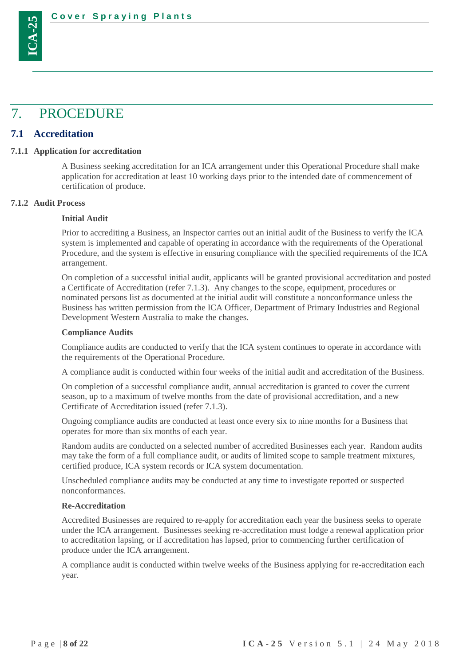<span id="page-7-0"></span>

### <span id="page-7-1"></span>**7.1 Accreditation**

**ICA-25**

#### <span id="page-7-2"></span>**7.1.1 Application for accreditation**

A Business seeking accreditation for an ICA arrangement under this Operational Procedure shall make application for accreditation at least 10 working days prior to the intended date of commencement of certification of produce.

#### <span id="page-7-3"></span>**7.1.2 Audit Process**

#### **Initial Audit**

Prior to accrediting a Business, an Inspector carries out an initial audit of the Business to verify the ICA system is implemented and capable of operating in accordance with the requirements of the Operational Procedure, and the system is effective in ensuring compliance with the specified requirements of the ICA arrangement.

On completion of a successful initial audit, applicants will be granted provisional accreditation and posted a Certificate of Accreditation (refer [7.1.3\)](#page-8-0). Any changes to the scope, equipment, procedures or nominated persons list as documented at the initial audit will constitute a nonconformance unless the Business has written permission from the ICA Officer, Department of Primary Industries and Regional Development Western Australia to make the changes.

#### **Compliance Audits**

Compliance audits are conducted to verify that the ICA system continues to operate in accordance with the requirements of the Operational Procedure.

A compliance audit is conducted within four weeks of the initial audit and accreditation of the Business.

On completion of a successful compliance audit, annual accreditation is granted to cover the current season, up to a maximum of twelve months from the date of provisional accreditation, and a new Certificate of Accreditation issued (refer [7.1.3\)](#page-8-0).

Ongoing compliance audits are conducted at least once every six to nine months for a Business that operates for more than six months of each year.

Random audits are conducted on a selected number of accredited Businesses each year. Random audits may take the form of a full compliance audit, or audits of limited scope to sample treatment mixtures, certified produce, ICA system records or ICA system documentation.

Unscheduled compliance audits may be conducted at any time to investigate reported or suspected nonconformances.

#### **Re-Accreditation**

Accredited Businesses are required to re-apply for accreditation each year the business seeks to operate under the ICA arrangement. Businesses seeking re-accreditation must lodge a renewal application prior to accreditation lapsing, or if accreditation has lapsed, prior to commencing further certification of produce under the ICA arrangement.

A compliance audit is conducted within twelve weeks of the Business applying for re-accreditation each year.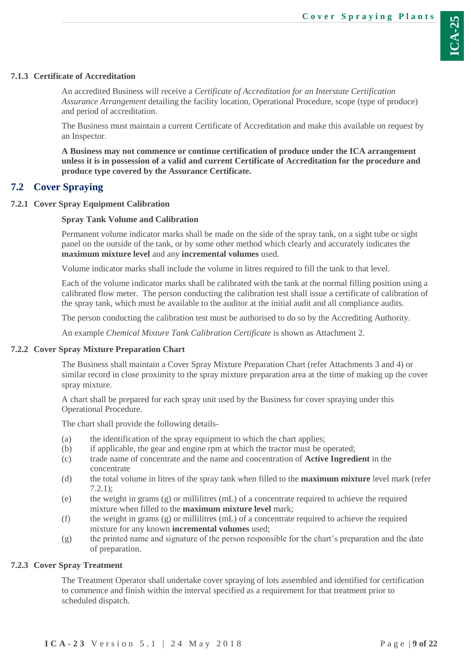## <span id="page-8-0"></span>**7.1.3 Certificate of Accreditation**

An accredited Business will receive a *Certificate of Accreditation for an Interstate Certification Assurance Arrangement* detailing the facility location, Operational Procedure, scope (type of produce) and period of accreditation.

The Business must maintain a current Certificate of Accreditation and make this available on request by an Inspector.

**A Business may not commence or continue certification of produce under the ICA arrangement unless it is in possession of a valid and current Certificate of Accreditation for the procedure and produce type covered by the Assurance Certificate.**

## <span id="page-8-1"></span>**7.2 Cover Spraying**

## <span id="page-8-2"></span>**7.2.1 Cover Spray Equipment Calibration**

### **Spray Tank Volume and Calibration**

Permanent volume indicator marks shall be made on the side of the spray tank, on a sight tube or sight panel on the outside of the tank, or by some other method which clearly and accurately indicates the **maximum mixture level** and any **incremental volumes** used.

Volume indicator marks shall include the volume in litres required to fill the tank to that level.

Each of the volume indicator marks shall be calibrated with the tank at the normal filling position using a calibrated flow meter. The person conducting the calibration test shall issue a certificate of calibration of the spray tank, which must be available to the auditor at the initial audit and all compliance audits.

The person conducting the calibration test must be authorised to do so by the Accrediting Authority.

An example *Chemical Mixture Tank Calibration Certificate* is shown as Attachment 2.

## <span id="page-8-3"></span>**7.2.2 Cover Spray Mixture Preparation Chart**

The Business shall maintain a Cover Spray Mixture Preparation Chart (refer Attachments 3 and 4) or similar record in close proximity to the spray mixture preparation area at the time of making up the cover spray mixture.

A chart shall be prepared for each spray unit used by the Business for cover spraying under this Operational Procedure.

The chart shall provide the following details-

- (a) the identification of the spray equipment to which the chart applies;
- (b) if applicable, the gear and engine rpm at which the tractor must be operated;
- (c) trade name of concentrate and the name and concentration of **Active Ingredient** in the concentrate
- (d) the total volume in litres of the spray tank when filled to the **maximum mixture** level mark (refer [7.2.1\)](#page-8-2);
- (e) the weight in grams  $(g)$  or millilitres (mL) of a concentrate required to achieve the required mixture when filled to the **maximum mixture level** mark;
- (f) the weight in grams  $(g)$  or millilitres (mL) of a concentrate required to achieve the required mixture for any known **incremental volumes** used;
- (g) the printed name and signature of the person responsible for the chart's preparation and the date of preparation.

## <span id="page-8-4"></span>**7.2.3 Cover Spray Treatment**

The Treatment Operator shall undertake cover spraying of lots assembled and identified for certification to commence and finish within the interval specified as a requirement for that treatment prior to scheduled dispatch.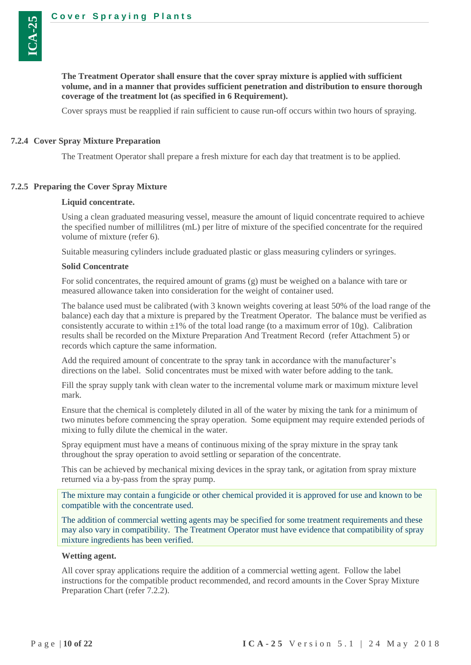

Cover sprays must be reapplied if rain sufficient to cause run-off occurs within two hours of spraying.

#### <span id="page-9-0"></span>**7.2.4 Cover Spray Mixture Preparation**

**ICA-25**

The Treatment Operator shall prepare a fresh mixture for each day that treatment is to be applied.

#### <span id="page-9-1"></span>**7.2.5 Preparing the Cover Spray Mixture**

#### **Liquid concentrate.**

Using a clean graduated measuring vessel, measure the amount of liquid concentrate required to achieve the specified number of millilitres (mL) per litre of mixture of the specified concentrate for the required volume of mixture (refer [6\)](#page-5-1).

Suitable measuring cylinders include graduated plastic or glass measuring cylinders or syringes.

#### **Solid Concentrate**

For solid concentrates, the required amount of grams (g) must be weighed on a balance with tare or measured allowance taken into consideration for the weight of container used.

The balance used must be calibrated (with 3 known weights covering at least 50% of the load range of the balance) each day that a mixture is prepared by the Treatment Operator. The balance must be verified as consistently accurate to within  $\pm 1\%$  of the total load range (to a maximum error of 10g). Calibration results shall be recorded on the Mixture Preparation And Treatment Record (refer Attachment 5) or records which capture the same information.

Add the required amount of concentrate to the spray tank in accordance with the manufacturer's directions on the label. Solid concentrates must be mixed with water before adding to the tank.

Fill the spray supply tank with clean water to the incremental volume mark or maximum mixture level mark.

Ensure that the chemical is completely diluted in all of the water by mixing the tank for a minimum of two minutes before commencing the spray operation. Some equipment may require extended periods of mixing to fully dilute the chemical in the water.

Spray equipment must have a means of continuous mixing of the spray mixture in the spray tank throughout the spray operation to avoid settling or separation of the concentrate.

This can be achieved by mechanical mixing devices in the spray tank, or agitation from spray mixture returned via a by-pass from the spray pump.

The mixture may contain a fungicide or other chemical provided it is approved for use and known to be compatible with the concentrate used.

The addition of commercial wetting agents may be specified for some treatment requirements and these may also vary in compatibility. The Treatment Operator must have evidence that compatibility of spray mixture ingredients has been verified.

#### **Wetting agent.**

All cover spray applications require the addition of a commercial wetting agent. Follow the label instructions for the compatible product recommended, and record amounts in the Cover Spray Mixture Preparation Chart (refer [7.2.2\)](#page-8-3).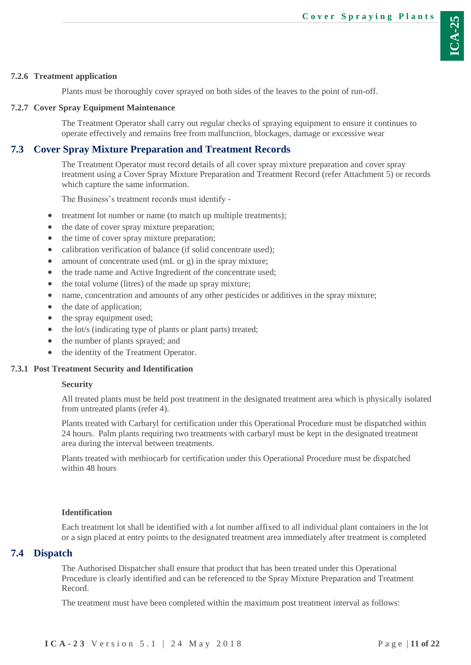## <span id="page-10-0"></span>**7.2.6 Treatment application**

Plants must be thoroughly cover sprayed on both sides of the leaves to the point of run-off.

## <span id="page-10-1"></span>**7.2.7 Cover Spray Equipment Maintenance**

The Treatment Operator shall carry out regular checks of spraying equipment to ensure it continues to operate effectively and remains free from malfunction, blockages, damage or excessive wear

## <span id="page-10-2"></span>**7.3 Cover Spray Mixture Preparation and Treatment Records**

The Treatment Operator must record details of all cover spray mixture preparation and cover spray treatment using a Cover Spray Mixture Preparation and Treatment Record (refer Attachment 5) or records which capture the same information.

The Business's treatment records must identify -

- treatment lot number or name (to match up multiple treatments);
- the date of cover spray mixture preparation;
- the time of cover spray mixture preparation;
- calibration verification of balance (if solid concentrate used);
- amount of concentrate used (mL or g) in the spray mixture;
- the trade name and Active Ingredient of the concentrate used;
- the total volume (litres) of the made up spray mixture;
- name, concentration and amounts of any other pesticides or additives in the spray mixture;
- the date of application;
- the spray equipment used;
- the lot/s (indicating type of plants or plant parts) treated;
- the number of plants sprayed; and
- <span id="page-10-3"></span>the identity of the Treatment Operator.

#### **7.3.1 Post Treatment Security and Identification**

#### **Security**

All treated plants must be held post treatment in the designated treatment area which is physically isolated from untreated plants (refer 4).

Plants treated with Carbaryl for certification under this Operational Procedure must be dispatched within 24 hours. Palm plants requiring two treatments with carbaryl must be kept in the designated treatment area during the interval between treatments.

Plants treated with methiocarb for certification under this Operational Procedure must be dispatched within 48 hours

## **Identification**

Each treatment lot shall be identified with a lot number affixed to all individual plant containers in the lot or a sign placed at entry points to the designated treatment area immediately after treatment is completed

## <span id="page-10-4"></span>**7.4 Dispatch**

The Authorised Dispatcher shall ensure that product that has been treated under this Operational Procedure is clearly identified and can be referenced to the Spray Mixture Preparation and Treatment Record.

The treatment must have been completed within the maximum post treatment interval as follows: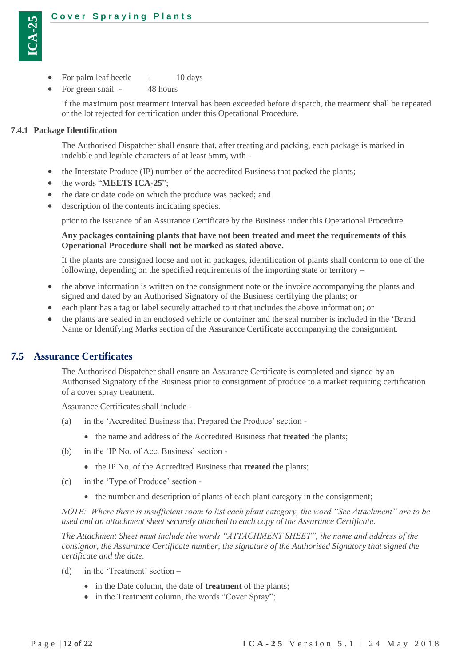

- For palm leaf beetle 10 days
- For green snail 48 hours

If the maximum post treatment interval has been exceeded before dispatch, the treatment shall be repeated or the lot rejected for certification under this Operational Procedure.

#### <span id="page-11-0"></span>**7.4.1 Package Identification**

The Authorised Dispatcher shall ensure that, after treating and packing, each package is marked in indelible and legible characters of at least 5mm, with -

- the Interstate Produce (IP) number of the accredited Business that packed the plants;
- the words "**MEETS ICA-25**";
- the date or date code on which the produce was packed; and
- description of the contents indicating species.

prior to the issuance of an Assurance Certificate by the Business under this Operational Procedure.

#### **Any packages containing plants that have not been treated and meet the requirements of this Operational Procedure shall not be marked as stated above.**

If the plants are consigned loose and not in packages, identification of plants shall conform to one of the following, depending on the specified requirements of the importing state or territory –

- the above information is written on the consignment note or the invoice accompanying the plants and signed and dated by an Authorised Signatory of the Business certifying the plants; or
- each plant has a tag or label securely attached to it that includes the above information; or
- the plants are sealed in an enclosed vehicle or container and the seal number is included in the 'Brand Name or Identifying Marks section of the Assurance Certificate accompanying the consignment.

#### <span id="page-11-1"></span>**7.5 Assurance Certificates**

The Authorised Dispatcher shall ensure an Assurance Certificate is completed and signed by an Authorised Signatory of the Business prior to consignment of produce to a market requiring certification of a cover spray treatment.

Assurance Certificates shall include -

- (a) in the 'Accredited Business that Prepared the Produce' section
	- the name and address of the Accredited Business that **treated** the plants;
- (b) in the 'IP No. of Acc. Business' section
	- the IP No. of the Accredited Business that **treated** the plants;
- (c) in the 'Type of Produce' section
	- the number and description of plants of each plant category in the consignment;

*NOTE: Where there is insufficient room to list each plant category, the word "See Attachment" are to be used and an attachment sheet securely attached to each copy of the Assurance Certificate.*

*The Attachment Sheet must include the words "ATTACHMENT SHEET", the name and address of the consignor, the Assurance Certificate number, the signature of the Authorised Signatory that signed the certificate and the date.*

- (d) in the 'Treatment' section
	- in the Date column, the date of **treatment** of the plants;
	- in the Treatment column, the words "Cover Spray";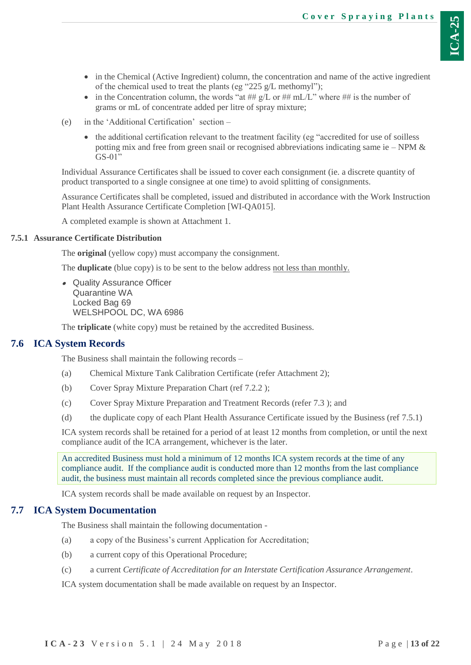- in the Chemical (Active Ingredient) column, the concentration and name of the active ingredient of the chemical used to treat the plants (eg "225 g/L methomyl");
- in the Concentration column, the words "at ##  $g/L$  or ##  $m/L$ " where ## is the number of grams or mL of concentrate added per litre of spray mixture;
- (e) in the 'Additional Certification' section
	- the additional certification relevant to the treatment facility (eg "accredited for use of soilless potting mix and free from green snail or recognised abbreviations indicating same ie – NPM  $\&$ GS-01"

Individual Assurance Certificates shall be issued to cover each consignment (ie. a discrete quantity of product transported to a single consignee at one time) to avoid splitting of consignments.

Assurance Certificates shall be completed, issued and distributed in accordance with the Work Instruction Plant Health Assurance Certificate Completion [WI-QA015].

A completed example is shown at Attachment 1.

### <span id="page-12-0"></span>**7.5.1 Assurance Certificate Distribution**

The **original** (yellow copy) must accompany the consignment.

The **duplicate** (blue copy) is to be sent to the below address not less than monthly.

 Quality Assurance Officer Quarantine WA Locked Bag 69 WELSHPOOL DC, WA 6986

The **triplicate** (white copy) must be retained by the accredited Business.

#### <span id="page-12-1"></span>**7.6 ICA System Records**

The Business shall maintain the following records –

- (a) Chemical Mixture Tank Calibration Certificate (refer Attachment 2);
- (b) Cover Spray Mixture Preparation Chart (ref [7.2.2](#page-8-3) );
- (c) Cover Spray Mixture Preparation and Treatment Records (refer [7.3](#page-10-2) ); and
- (d) the duplicate copy of each Plant Health Assurance Certificate issued by the Business (ref [7.5.1\)](#page-12-0)

ICA system records shall be retained for a period of at least 12 months from completion, or until the next compliance audit of the ICA arrangement, whichever is the later.

An accredited Business must hold a minimum of 12 months ICA system records at the time of any compliance audit. If the compliance audit is conducted more than 12 months from the last compliance audit, the business must maintain all records completed since the previous compliance audit.

ICA system records shall be made available on request by an Inspector.

#### <span id="page-12-2"></span>**7.7 ICA System Documentation**

The Business shall maintain the following documentation -

- (a) a copy of the Business's current Application for Accreditation;
- (b) a current copy of this Operational Procedure;
- (c) a current *Certificate of Accreditation for an Interstate Certification Assurance Arrangement*.

ICA system documentation shall be made available on request by an Inspector.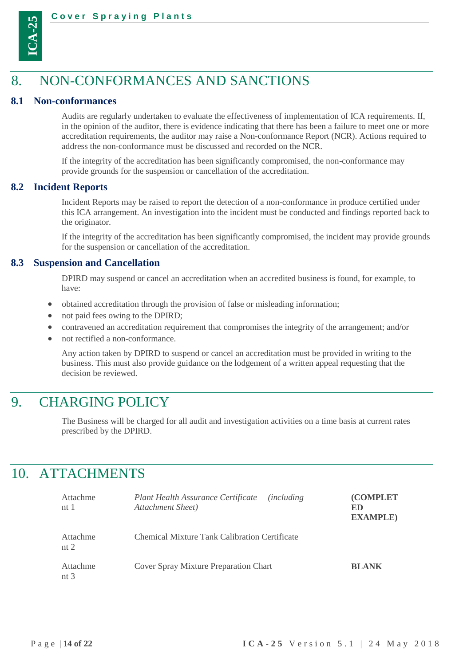

# <span id="page-13-0"></span>8. NON-CONFORMANCES AND SANCTIONS

#### <span id="page-13-1"></span>**8.1 Non-conformances**

Audits are regularly undertaken to evaluate the effectiveness of implementation of ICA requirements. If, in the opinion of the auditor, there is evidence indicating that there has been a failure to meet one or more accreditation requirements, the auditor may raise a Non-conformance Report (NCR). Actions required to address the non-conformance must be discussed and recorded on the NCR.

If the integrity of the accreditation has been significantly compromised, the non-conformance may provide grounds for the suspension or cancellation of the accreditation.

#### <span id="page-13-2"></span>**8.2 Incident Reports**

Incident Reports may be raised to report the detection of a non-conformance in produce certified under this ICA arrangement. An investigation into the incident must be conducted and findings reported back to the originator.

If the integrity of the accreditation has been significantly compromised, the incident may provide grounds for the suspension or cancellation of the accreditation.

#### <span id="page-13-3"></span>**8.3 Suspension and Cancellation**

DPIRD may suspend or cancel an accreditation when an accredited business is found, for example, to have:

- obtained accreditation through the provision of false or misleading information;
- not paid fees owing to the DPIRD;
- contravened an accreditation requirement that compromises the integrity of the arrangement; and/or
- not rectified a non-conformance.

Any action taken by DPIRD to suspend or cancel an accreditation must be provided in writing to the business. This must also provide guidance on the lodgement of a written appeal requesting that the decision be reviewed.

# <span id="page-13-4"></span>9. CHARGING POLICY

The Business will be charged for all audit and investigation activities on a time basis at current rates prescribed by the DPIRD.

# <span id="page-13-5"></span>10. ATTACHMENTS

| Attachme<br>nt $1$            | Plant Health Assurance Certificate<br><i>(including)</i><br>Attachment Sheet) | <b>COMPLET</b><br>ED<br><b>EXAMPLE</b> ) |
|-------------------------------|-------------------------------------------------------------------------------|------------------------------------------|
| Attachme<br>nt $2$            | <b>Chemical Mixture Tank Calibration Certificate</b>                          |                                          |
| Attachme<br>nt $\overline{3}$ | Cover Spray Mixture Preparation Chart                                         | <b>BLANK</b>                             |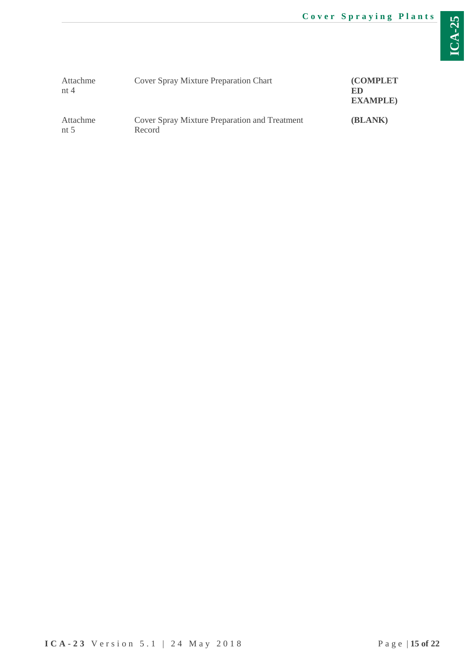| Attachme<br>nt $4$ | Cover Spray Mixture Preparation Chart                   | <b>(COMPLET)</b><br>ED<br><b>EXAMPLE</b> ) |
|--------------------|---------------------------------------------------------|--------------------------------------------|
| Attachme<br>nt $5$ | Cover Spray Mixture Preparation and Treatment<br>Record | (BLANK)                                    |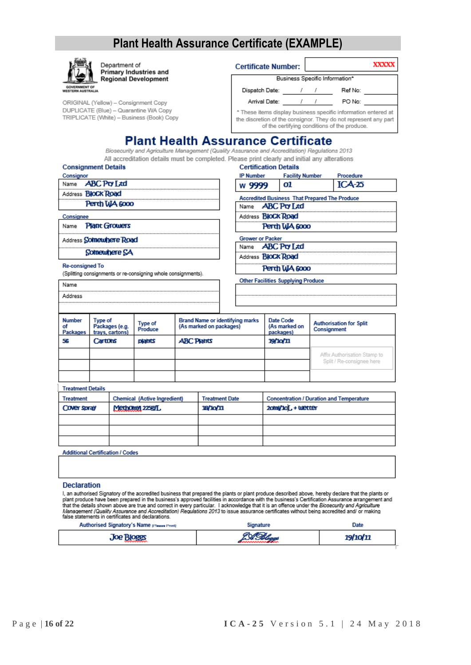# Plant Health Assurance Certificate (EXAMPLE)

|                                           |                                              | Department of     | Primary Industries and                                                             |                   |                                                                   |                                | <b>Certificate Number:</b>                                                                                                                 |  |                                                                                                                                                                                                                                                                                                                                                                                                                                                                                                                                                                                                         | <b>XXXXX</b> |
|-------------------------------------------|----------------------------------------------|-------------------|------------------------------------------------------------------------------------|-------------------|-------------------------------------------------------------------|--------------------------------|--------------------------------------------------------------------------------------------------------------------------------------------|--|---------------------------------------------------------------------------------------------------------------------------------------------------------------------------------------------------------------------------------------------------------------------------------------------------------------------------------------------------------------------------------------------------------------------------------------------------------------------------------------------------------------------------------------------------------------------------------------------------------|--------------|
|                                           |                                              |                   | <b>Regional Development</b>                                                        |                   |                                                                   | Business Specific Information* |                                                                                                                                            |  |                                                                                                                                                                                                                                                                                                                                                                                                                                                                                                                                                                                                         |              |
| <b>GOVERNMENT OF</b><br>WESTERN AUSTRALIA |                                              |                   |                                                                                    |                   |                                                                   |                                | Dispatch Date: / /                                                                                                                         |  | Ref No:                                                                                                                                                                                                                                                                                                                                                                                                                                                                                                                                                                                                 |              |
|                                           |                                              |                   | ORIGINAL (Yellow) - Consignment Copy                                               |                   |                                                                   |                                | Arrival Date: 1 /                                                                                                                          |  | PO No:                                                                                                                                                                                                                                                                                                                                                                                                                                                                                                                                                                                                  |              |
|                                           |                                              |                   | DUPLICATE (Blue) - Quarantine WA Copy<br>TRIPLICATE (White) - Business (Book) Copy |                   |                                                                   |                                |                                                                                                                                            |  | * These items display business specific information entered at<br>the discretion of the consignor. They do not represent any part<br>of the certifying conditions of the produce.                                                                                                                                                                                                                                                                                                                                                                                                                       |              |
|                                           |                                              |                   |                                                                                    |                   |                                                                   |                                | <b>Plant Health Assurance Certificate</b><br>Biosecurity and Agriculture Management (Quality Assurance and Accreditation) Regulations 2013 |  |                                                                                                                                                                                                                                                                                                                                                                                                                                                                                                                                                                                                         |              |
|                                           |                                              |                   |                                                                                    |                   |                                                                   |                                | All accreditation details must be completed. Please print clearly and initial any alterations                                              |  |                                                                                                                                                                                                                                                                                                                                                                                                                                                                                                                                                                                                         |              |
| <b>Consignment Details</b>                |                                              |                   |                                                                                    |                   |                                                                   |                                | <b>Certification Details</b>                                                                                                               |  |                                                                                                                                                                                                                                                                                                                                                                                                                                                                                                                                                                                                         |              |
| Consignor<br>Name <b>ABC Pty Ltd</b>      |                                              |                   |                                                                                    |                   |                                                                   | <b>IP Number</b>               | <b>Facility Number</b><br>01                                                                                                               |  | Procedure<br>$ICA-25$                                                                                                                                                                                                                                                                                                                                                                                                                                                                                                                                                                                   |              |
| Address <b>BloCk Road</b>                 |                                              |                   |                                                                                    |                   |                                                                   | w 9999                         |                                                                                                                                            |  |                                                                                                                                                                                                                                                                                                                                                                                                                                                                                                                                                                                                         |              |
|                                           |                                              | Perth WA 6000     |                                                                                    |                   |                                                                   |                                | <b>Accredited Business That Prepared The Produce</b>                                                                                       |  |                                                                                                                                                                                                                                                                                                                                                                                                                                                                                                                                                                                                         |              |
|                                           |                                              |                   |                                                                                    |                   |                                                                   |                                | Name <b>ABC Pty Ltd</b>                                                                                                                    |  |                                                                                                                                                                                                                                                                                                                                                                                                                                                                                                                                                                                                         |              |
| Consignee                                 |                                              |                   |                                                                                    |                   |                                                                   |                                | Address <b>BloCk Road</b>                                                                                                                  |  |                                                                                                                                                                                                                                                                                                                                                                                                                                                                                                                                                                                                         |              |
| Name                                      | <b>Plant Growers</b>                         |                   |                                                                                    |                   |                                                                   |                                | Perth WA 6000                                                                                                                              |  |                                                                                                                                                                                                                                                                                                                                                                                                                                                                                                                                                                                                         |              |
| Address Somewhere Road                    |                                              |                   |                                                                                    |                   |                                                                   | <b>Grower or Packer</b>        | Name <b>ABC Pty Ltd</b>                                                                                                                    |  |                                                                                                                                                                                                                                                                                                                                                                                                                                                                                                                                                                                                         |              |
|                                           |                                              | Somewhere SA      |                                                                                    |                   |                                                                   |                                |                                                                                                                                            |  |                                                                                                                                                                                                                                                                                                                                                                                                                                                                                                                                                                                                         |              |
| <b>Re-consigned To</b>                    |                                              |                   |                                                                                    |                   |                                                                   |                                | Address <b>BloCk Road</b><br>Perth WA 6000                                                                                                 |  |                                                                                                                                                                                                                                                                                                                                                                                                                                                                                                                                                                                                         |              |
|                                           |                                              |                   | (Splitting consignments or re-consigning whole consignments).                      |                   |                                                                   |                                |                                                                                                                                            |  |                                                                                                                                                                                                                                                                                                                                                                                                                                                                                                                                                                                                         |              |
| Name                                      |                                              |                   |                                                                                    |                   |                                                                   |                                | <b>Other Facilities Supplying Produce</b>                                                                                                  |  |                                                                                                                                                                                                                                                                                                                                                                                                                                                                                                                                                                                                         |              |
| Address                                   |                                              |                   |                                                                                    |                   |                                                                   |                                |                                                                                                                                            |  |                                                                                                                                                                                                                                                                                                                                                                                                                                                                                                                                                                                                         |              |
|                                           |                                              |                   |                                                                                    |                   |                                                                   |                                |                                                                                                                                            |  |                                                                                                                                                                                                                                                                                                                                                                                                                                                                                                                                                                                                         |              |
| Number<br>οf<br>Packages                  | Type of<br>Packages (e.g.<br>trays, cartons) |                   | Type of<br>Produce                                                                 |                   | <b>Brand Name or identifying marks</b><br>(As marked on packages) |                                | Date Code<br>(As marked on<br>packages)                                                                                                    |  | <b>Authorisation for Split</b><br>Consignment                                                                                                                                                                                                                                                                                                                                                                                                                                                                                                                                                           |              |
| 56                                        | Cartons                                      |                   | plants                                                                             | <b>ABC Plants</b> |                                                                   | 19/10/11                       |                                                                                                                                            |  |                                                                                                                                                                                                                                                                                                                                                                                                                                                                                                                                                                                                         |              |
|                                           |                                              |                   |                                                                                    |                   |                                                                   |                                |                                                                                                                                            |  | Affix Authorisation Stamp to<br>Split / Re-consignee here                                                                                                                                                                                                                                                                                                                                                                                                                                                                                                                                               |              |
| <b>Treatment Details</b>                  |                                              |                   |                                                                                    |                   |                                                                   |                                |                                                                                                                                            |  |                                                                                                                                                                                                                                                                                                                                                                                                                                                                                                                                                                                                         |              |
| Treatment                                 |                                              |                   | Chemical (Active Ingredient)                                                       |                   | <b>Treatment Date</b>                                             |                                |                                                                                                                                            |  | <b>Concentration / Duration and Temperature</b>                                                                                                                                                                                                                                                                                                                                                                                                                                                                                                                                                         |              |
| Cover spray                               |                                              |                   | Methomy 2259/L                                                                     |                   | <b>18/10/11</b>                                                   |                                | 20thl/10L+ Wetter                                                                                                                          |  |                                                                                                                                                                                                                                                                                                                                                                                                                                                                                                                                                                                                         |              |
|                                           |                                              |                   |                                                                                    |                   |                                                                   |                                |                                                                                                                                            |  |                                                                                                                                                                                                                                                                                                                                                                                                                                                                                                                                                                                                         |              |
|                                           |                                              |                   |                                                                                    |                   |                                                                   |                                |                                                                                                                                            |  |                                                                                                                                                                                                                                                                                                                                                                                                                                                                                                                                                                                                         |              |
|                                           |                                              |                   |                                                                                    |                   |                                                                   |                                |                                                                                                                                            |  |                                                                                                                                                                                                                                                                                                                                                                                                                                                                                                                                                                                                         |              |
| <b>Additional Certification / Codes</b>   |                                              |                   |                                                                                    |                   |                                                                   |                                |                                                                                                                                            |  |                                                                                                                                                                                                                                                                                                                                                                                                                                                                                                                                                                                                         |              |
|                                           |                                              |                   |                                                                                    |                   |                                                                   |                                |                                                                                                                                            |  |                                                                                                                                                                                                                                                                                                                                                                                                                                                                                                                                                                                                         |              |
| Declaration                               |                                              |                   |                                                                                    |                   |                                                                   |                                |                                                                                                                                            |  |                                                                                                                                                                                                                                                                                                                                                                                                                                                                                                                                                                                                         |              |
|                                           |                                              |                   | false statements in certificates and declarations.                                 |                   |                                                                   |                                |                                                                                                                                            |  | I, an authorised Signatory of the accredited business that prepared the plants or plant produce described above, hereby declare that the plants or<br>plant produce have been prepared in the business's approved facilities in accordance with the business's Certification Assurance arrangement and<br>that the details shown above are true and correct in every particular. I acknowledge that it is an offence under the Biosecurity and Agriculture<br>Management (Quality Assurance and Accreditation) Regulations 2013 to issue assurance certificates without being accredited and/ or making |              |
|                                           |                                              |                   | Authorised Signatory's Name pressurents                                            |                   |                                                                   | Signature                      |                                                                                                                                            |  | Date                                                                                                                                                                                                                                                                                                                                                                                                                                                                                                                                                                                                    |              |
|                                           |                                              | <b>Joe Bloggs</b> |                                                                                    |                   |                                                                   |                                |                                                                                                                                            |  | 19/10/11                                                                                                                                                                                                                                                                                                                                                                                                                                                                                                                                                                                                |              |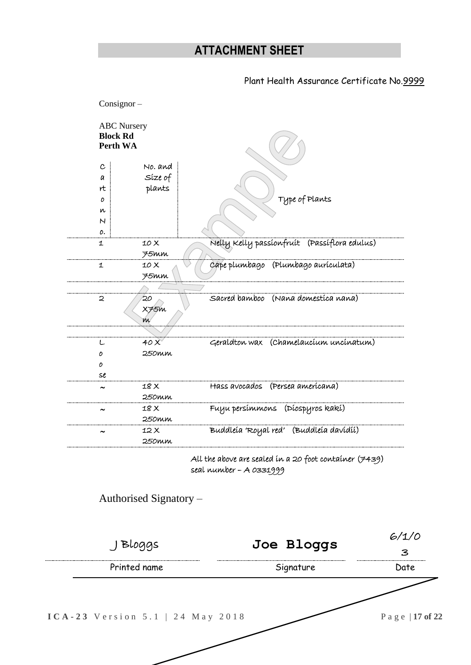| <b>ABC</b> Nursery<br><b>Block Rd</b> |                        |                                                          |       |
|---------------------------------------|------------------------|----------------------------------------------------------|-------|
| Perth WA                              |                        |                                                          |       |
| $\mathbf{c}$                          | No. and                |                                                          |       |
| a                                     | Síze of                |                                                          |       |
| rt.                                   | plants                 |                                                          |       |
| 0                                     |                        | Type of Plants                                           |       |
| n                                     |                        |                                                          |       |
| $\mathsf{N}$                          |                        |                                                          |       |
| о.                                    |                        |                                                          |       |
| 1                                     | 10X                    | Nelly Kelly passionfruit (Passiflora edulus)             |       |
|                                       | 75mm                   |                                                          |       |
| 1                                     | 10X                    | cape plumbago (Plumbago aurículata)                      |       |
|                                       | 75mm                   |                                                          |       |
|                                       |                        |                                                          |       |
| 2                                     | 20                     | Sacred bamboo (Nana domestica nana)                      |       |
|                                       | X75m                   |                                                          |       |
|                                       | m                      |                                                          |       |
|                                       |                        |                                                          |       |
| L                                     | 40X                    | Geraldton wax (Chamelaucium uncinatum)                   |       |
| 0                                     | 250mm                  |                                                          |       |
| 0                                     |                        |                                                          |       |
| se                                    |                        |                                                          |       |
| $\tilde{\phantom{a}}$                 | 18 X                   | Hass avocados (Persea amerícana)                         |       |
|                                       | 250mm                  |                                                          |       |
| $\tilde{}$                            | 18 X                   | Fuyu persímmons (Díospyros kakí)                         |       |
|                                       | 250mm                  |                                                          |       |
| $\tilde{\phantom{a}}$                 | 12X                    | Buddleía 'Royal red' (Buddleía davidíí)                  |       |
|                                       | 250тт                  |                                                          |       |
|                                       |                        | All the above are sealed in a 20 foot container $(7439)$ |       |
|                                       |                        | seal number - A 0331999                                  |       |
|                                       |                        |                                                          |       |
|                                       | Authorised Signatory - |                                                          |       |
|                                       |                        |                                                          |       |
|                                       |                        |                                                          |       |
|                                       |                        |                                                          | 6/1/0 |
| J Bloggs                              |                        | Joe Bloggs                                               | З     |
| Printed name                          |                        | Signature                                                | Date  |
|                                       |                        |                                                          |       |

**I C A - 2 3** V e r s i o n 5.1 | 2 4 M a y 2 0 1 8 P a g e | 17 of 22

. . . . . . . . . .

 $\overline{\phantom{a}}$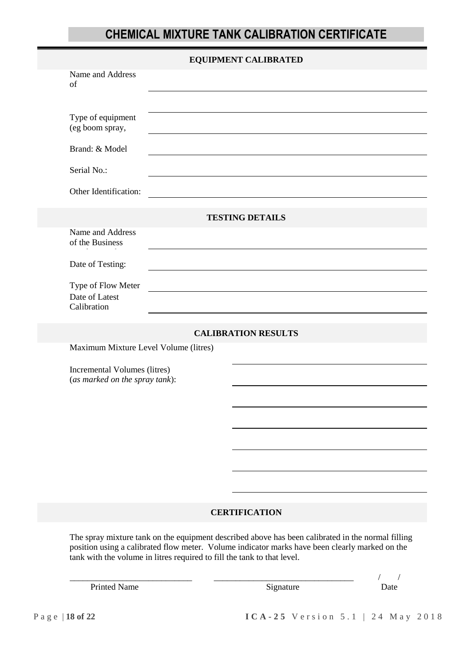# **CHEMICAL MIXTURE TANK CALIBRATION CERTIFICATE**

|                                                                | <b>EQUIPMENT CALIBRATED</b>                                                                                                                                                                                                                                                    |
|----------------------------------------------------------------|--------------------------------------------------------------------------------------------------------------------------------------------------------------------------------------------------------------------------------------------------------------------------------|
| Name and Address<br>of                                         |                                                                                                                                                                                                                                                                                |
|                                                                |                                                                                                                                                                                                                                                                                |
| Type of equipment<br>(eg boom spray,                           |                                                                                                                                                                                                                                                                                |
| Brand: & Model                                                 |                                                                                                                                                                                                                                                                                |
| Serial No.:                                                    | <u> 1989 - Johann Barbara, martxa alemaniar argumento de la contrada de la contrada de la contrada de la contrad</u>                                                                                                                                                           |
| Other Identification:                                          |                                                                                                                                                                                                                                                                                |
|                                                                | <b>TESTING DETAILS</b>                                                                                                                                                                                                                                                         |
| Name and Address<br>of the Business                            |                                                                                                                                                                                                                                                                                |
| Date of Testing:                                               |                                                                                                                                                                                                                                                                                |
| Type of Flow Meter                                             |                                                                                                                                                                                                                                                                                |
| Date of Latest<br>Calibration                                  |                                                                                                                                                                                                                                                                                |
|                                                                | <b>CALIBRATION RESULTS</b>                                                                                                                                                                                                                                                     |
| Maximum Mixture Level Volume (litres)                          |                                                                                                                                                                                                                                                                                |
| Incremental Volumes (litres)<br>(as marked on the spray tank): |                                                                                                                                                                                                                                                                                |
|                                                                |                                                                                                                                                                                                                                                                                |
|                                                                |                                                                                                                                                                                                                                                                                |
|                                                                |                                                                                                                                                                                                                                                                                |
|                                                                |                                                                                                                                                                                                                                                                                |
|                                                                |                                                                                                                                                                                                                                                                                |
|                                                                |                                                                                                                                                                                                                                                                                |
|                                                                | <b>CERTIFICATION</b>                                                                                                                                                                                                                                                           |
|                                                                | The spray mixture tank on the equipment described above has been calibrated in the normal filling<br>position using a calibrated flow meter. Volume indicator marks have been clearly marked on the<br>tank with the volume in litres required to fill the tank to that level. |

Printed Name Signature Date

\_\_\_\_\_\_\_\_\_\_\_\_\_\_\_\_\_\_\_\_\_\_\_\_\_\_\_\_ \_\_\_\_\_\_\_\_\_\_\_\_\_\_\_\_\_\_\_\_\_\_\_\_\_\_\_\_\_\_\_\_ / /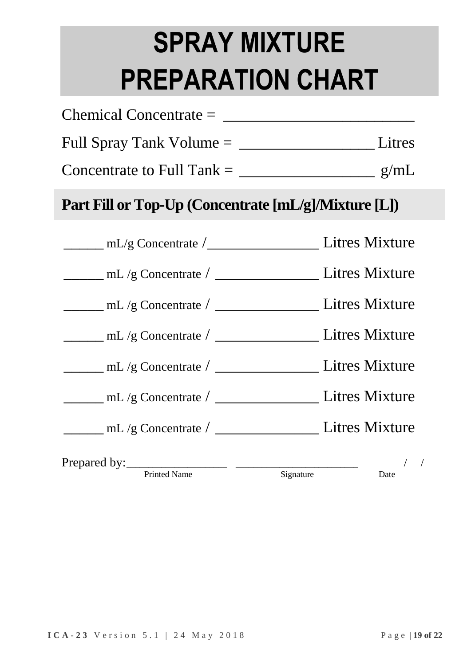# **SPRAY MIXTURE PREPARATION CHART**

| Concentrate to Full Tank = $\frac{\ }{\ }$           |               |
|------------------------------------------------------|---------------|
| Part Fill or Top-Up (Concentrate [mL/g]/Mixture [L]) |               |
|                                                      |               |
|                                                      |               |
|                                                      |               |
|                                                      |               |
|                                                      |               |
|                                                      |               |
|                                                      |               |
| Prepared by: Frinted Name Signature Date /           | $\frac{1}{2}$ |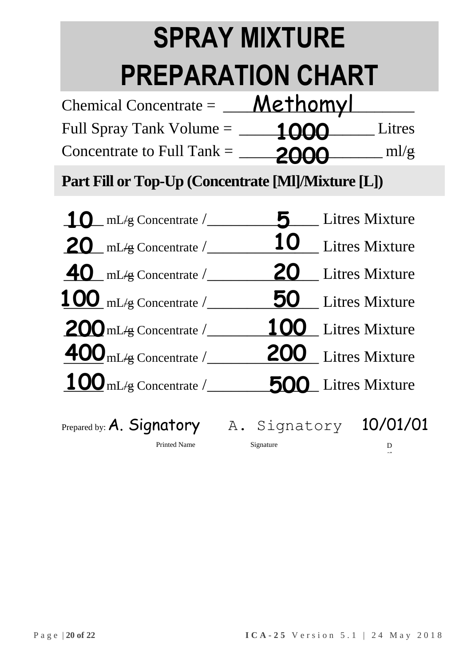# **SPRAY MIXTURE PREPARATION CHART**

| Chemical Concentrate $=$     | Methomyl      |                 |
|------------------------------|---------------|-----------------|
| Full Spray Tank Volume =     | <u> 1000 </u> | Litres          |
| Concentrate to Full Tank $=$ | 2000          | $ml/\mathbf{g}$ |

**Part Fill or Top-Up (Concentrate [Ml]/Mixture [L])**

| $10$ mL/g Concentrate $/$              |                           | Litres Mixture        |
|----------------------------------------|---------------------------|-----------------------|
| $20$ mL/g Concentrate /                | <b>10</b> Litres Mixture  |                       |
| $\frac{40}{\text{mL/g}}$ Concentrate / | 20                        | <b>Litres Mixture</b> |
| $100$ mL/g Concentrate $/$             | 50                        | Litres Mixture        |
| $200$ mL/g Concentrate $/$             | 100 Litres Mixture        |                       |
| $\underline{400}$ mL/g Concentrate /   | 200 Litres Mixture        |                       |
| $100$ mL/g Concentrate /               | <b>500</b> Litres Mixture |                       |
|                                        |                           |                       |
| Prepared by: A. Signatory              | A. Signatory              | 10/01/01              |
| Printed Name                           | Signature                 | D                     |

at